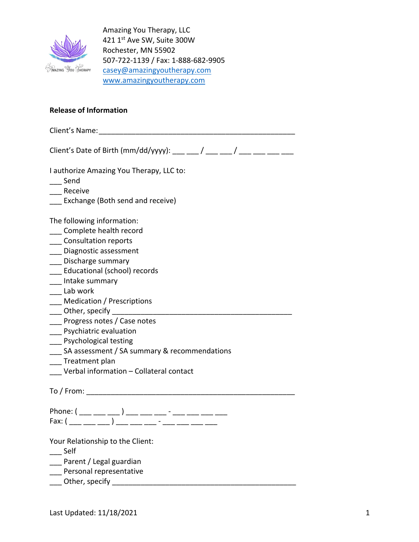

Amazing You Therapy, LLC 421 1st Ave SW, Suite 300W Rochester, MN 55902 507-722-1139 / Fax: 1-888-682-9905 casey@amazingyoutherapy.com www.amazingyoutherapy.com

## **Release of Information**

Client's Name:\_\_\_\_\_\_\_\_\_\_\_\_\_\_\_\_\_\_\_\_\_\_\_\_\_\_\_\_\_\_\_\_\_\_\_\_\_\_\_\_\_\_\_\_\_\_\_\_ Client's Date of Birth (mm/dd/yyyy):  $\qquad$  /  $\qquad$  / I authorize Amazing You Therapy, LLC to: \_\_\_ Send \_\_\_ Receive Exchange (Both send and receive) The following information: \_\_\_ Complete health record \_\_\_ Consultation reports \_\_\_ Diagnostic assessment

- \_\_\_ Discharge summary
- \_\_\_ Educational (school) records
- \_\_\_ Intake summary
- \_\_\_ Lab work
- \_\_\_ Medication / Prescriptions
- $\rule{1em}{0}$  Other, specify  $\rule{1em}{0.15mm}$
- \_\_\_ Progress notes / Case notes
- \_\_\_ Psychiatric evaluation
- \_\_\_ Psychological testing
- SA assessment / SA summary & recommendations
- \_\_\_ Treatment plan
- \_\_\_ Verbal information Collateral contact

To  $/$  From:  $\blacksquare$ 

Phone: ( \_\_\_ \_\_\_ \_\_\_ ) \_\_\_ \_\_\_ \_\_\_ - \_\_\_ \_\_\_ \_\_\_ \_\_\_ Fax:  $(\_ \_ \_ \_ \_ \_ \_ \_ \_ \_ \_ \_ \_ \_ \_ \_ \_ \_$ 

Your Relationship to the Client:

\_\_\_ Self

- \_\_\_ Parent / Legal guardian
- \_\_\_ Personal representative
- $\Box$  Other, specify  $\Box$